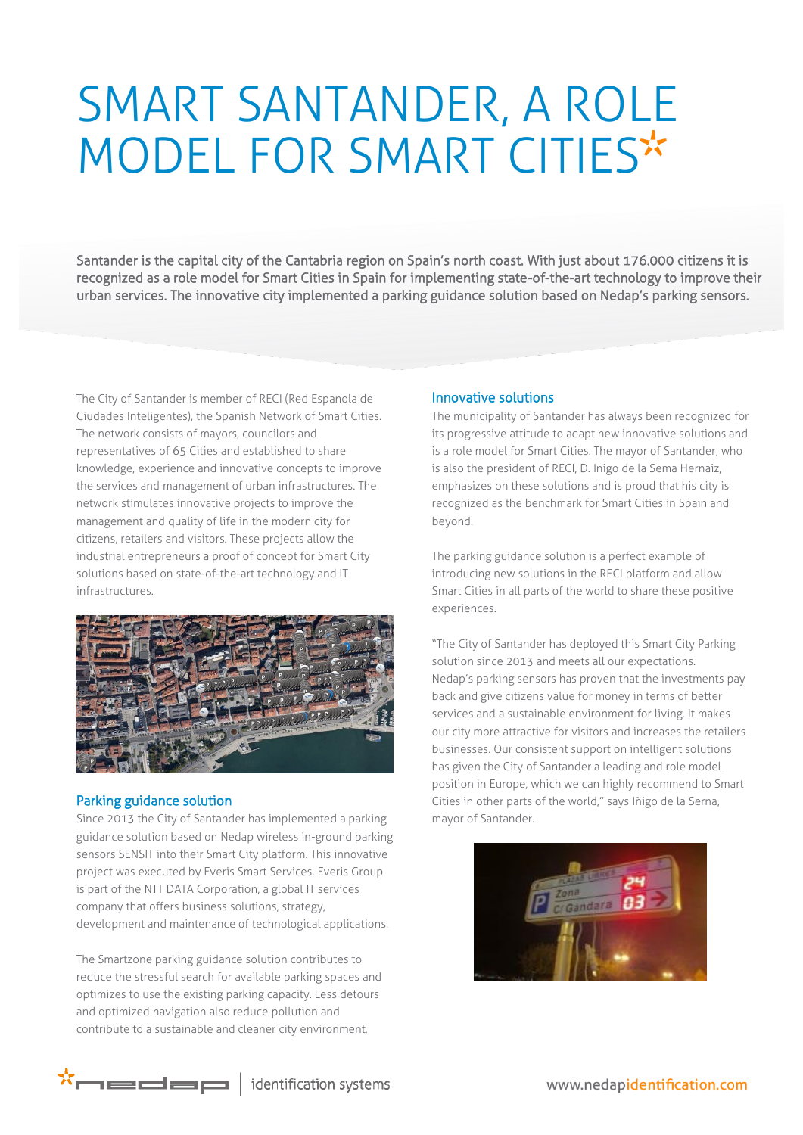## SMART SANTANDER, A ROLE MODEL FOR SMART CITIES

Santander is the capital city of the Cantabria region on Spain's north coast. With just about 176.000 citizens it is recognized as a role model for Smart Cities in Spain for implementing state-of-the-art technology to improve their urban services. The innovative city implemented a parking guidance solution based on Nedap's parking sensors.

The City of Santander is member of RECI (Red Espanola de Ciudades Inteligentes), the Spanish Network of Smart Cities. The network consists of mayors, councilors and representatives of 65 Cities and established to share knowledge, experience and innovative concepts to improve the services and management of urban infrastructures. The network stimulates innovative projects to improve the management and quality of life in the modern city for citizens, retailers and visitors. These projects allow the industrial entrepreneurs a proof of concept for Smart City solutions based on state-of-the-art technology and IT infrastructures.



## Parking guidance solution

Since 2013 the City of Santander has implemented a parking guidance solution based on Nedap wireless in-ground parking sensors SENSIT into their Smart City platform. This innovative project was executed by Everis Smart Services. Everis Group is part of the NTT DATA Corporation, a global IT services company that offers business solutions, strategy, development and maintenance of technological applications.

The Smartzone parking guidance solution contributes to reduce the stressful search for available parking spaces and optimizes to use the existing parking capacity. Less detours and optimized navigation also reduce pollution and contribute to a sustainable and cleaner city environment.

## Innovative solutions

The municipality of Santander has always been recognized for its progressive attitude to adapt new innovative solutions and is a role model for Smart Cities. The mayor of Santander, who is also the president of RECI, D. Inigo de la Sema Hernaiz, emphasizes on these solutions and is proud that his city is recognized as the benchmark for Smart Cities in Spain and beyond.

The parking guidance solution is a perfect example of introducing new solutions in the RECI platform and allow Smart Cities in all parts of the world to share these positive experiences.

"The City of Santander has deployed this Smart City Parking solution since 2013 and meets all our expectations. Nedap's parking sensors has proven that the investments pay back and give citizens value for money in terms of better services and a sustainable environment for living. It makes our city more attractive for visitors and increases the retailers businesses. Our consistent support on intelligent solutions has given the City of Santander a leading and role model position in Europe, which we can highly recommend to Smart Cities in other parts of the world," says Iñigo de la Serna, mayor of Santander.





identification systems